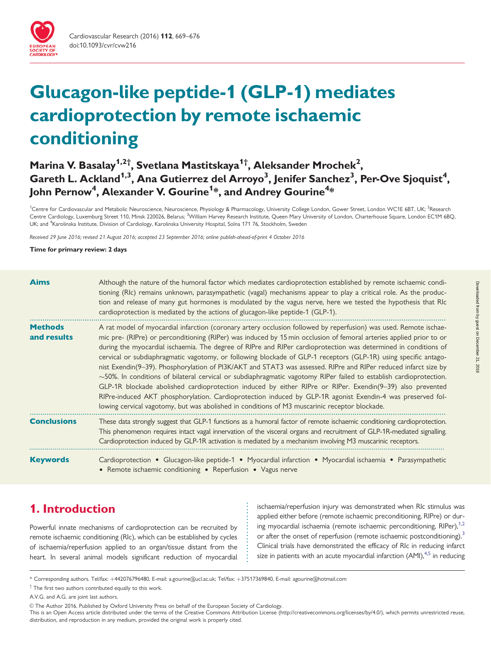

# Glucagon-like peptide-1 (GLP-1) mediates cardioprotection by remote ischaemic conditioning

# Marina V. Basalay<sup>1,2†</sup>, Svetlana Mastitskaya<sup>1†</sup>, Aleksander Mrochek<sup>2</sup>, Gareth L. Ackland<sup>1,3</sup>, Ana Gutierrez del Arroyo<sup>3</sup>, Jenifer Sanchez<sup>3</sup>, Per-Ove Sjoquist<sup>4</sup>, John Pernow $^4$ , Alexander V. Gourine $^{\mathsf{1}*}$ , and Andrey Gourine $^{\mathsf{4}*}$

<sup>1</sup>Centre for Cardiovascular and Metabolic Neuroscience, Neuroscience, Physiology & Pharmacology, University College London, Gower Street, London WC1E 6BT, UK; <sup>2</sup>Research Centre Cardiology, Luxemburg Street 110, Minsk 220026, Belarus; <sup>3</sup>William Harvey Research Institute, Queen Mary University of London, Charterhouse Square, London EC1M 6BQ, UK; and <sup>4</sup>Karolinska Institute, Division of Cardiology, Karolinska University Hospital, Solna 171 76, Stockholm, Sweden

Received 29 June 2016; revised 21 August 2016; accepted 23 September 2016; online publish-ahead-of-print 4 October 2016

#### Time for primary review: 2 days

| <b>Aims</b>                   | Although the nature of the humoral factor which mediates cardioprotection established by remote ischaemic condi-<br>tioning (RIc) remains unknown, parasympathetic (vagal) mechanisms appear to play a critical role. As the produc-<br>tion and release of many gut hormones is modulated by the vagus nerve, here we tested the hypothesis that RIc<br>cardioprotection is mediated by the actions of glucagon-like peptide-1 (GLP-1).                                                                                                                                                                                                                                                                                                                                                                                                                                                                                                                                                                                                                  |  |  |  |
|-------------------------------|-----------------------------------------------------------------------------------------------------------------------------------------------------------------------------------------------------------------------------------------------------------------------------------------------------------------------------------------------------------------------------------------------------------------------------------------------------------------------------------------------------------------------------------------------------------------------------------------------------------------------------------------------------------------------------------------------------------------------------------------------------------------------------------------------------------------------------------------------------------------------------------------------------------------------------------------------------------------------------------------------------------------------------------------------------------|--|--|--|
| <b>Methods</b><br>and results | A rat model of myocardial infarction (coronary artery occlusion followed by reperfusion) was used. Remote ischae-<br>mic pre- (RIPre) or perconditioning (RIPer) was induced by 15 min occlusion of femoral arteries applied prior to or<br>during the myocardial ischaemia. The degree of RIPre and RIPer cardioprotection was determined in conditions of<br>cervical or subdiaphragmatic vagotomy, or following blockade of GLP-1 receptors (GLP-1R) using specific antago-<br>nist Exendin(9–39). Phosphorylation of PI3K/AKT and STAT3 was assessed. RIPre and RIPer reduced infarct size by<br>$\sim$ 50%. In conditions of bilateral cervical or subdiaphragmatic vagotomy RIPer failed to establish cardioprotection.<br>GLP-1R blockade abolished cardioprotection induced by either RIPre or RIPer. Exendin(9–39) also prevented<br>RIPre-induced AKT phosphorylation. Cardioprotection induced by GLP-1R agonist Exendin-4 was preserved fol-<br>lowing cervical vagotomy, but was abolished in conditions of M3 muscarinic receptor blockade. |  |  |  |
| <b>Conclusions</b>            | These data strongly suggest that GLP-1 functions as a humoral factor of remote ischaemic conditioning cardioprotection.<br>This phenomenon requires intact vagal innervation of the visceral organs and recruitment of GLP-1R-mediated signalling.<br>Cardioprotection induced by GLP-1R activation is mediated by a mechanism involving M3 muscarinic receptors.                                                                                                                                                                                                                                                                                                                                                                                                                                                                                                                                                                                                                                                                                         |  |  |  |
| <b>Keywords</b>               | Cardioprotection • Glucagon-like peptide-1 • Myocardial infarction • Myocardial ischaemia • Parasympathetic<br>• Remote ischaemic conditioning • Reperfusion • Vagus nerve                                                                                                                                                                                                                                                                                                                                                                                                                                                                                                                                                                                                                                                                                                                                                                                                                                                                                |  |  |  |

# 1. Introduction

Powerful innate mechanisms of cardioprotection can be recruited by remote ischaemic conditioning (RIc), which can be established by cycles of ischaemia/reperfusion applied to an organ/tissue distant from the heart. In several animal models significant reduction of myocardial ischaemia/reperfusion injury was demonstrated when RIc stimulus was applied either before (remote ischaemic preconditioning, RIPre) or during myocardial ischaemia (remote ischaemic perconditioning,  $R[Per]$ ,  $1,2$  $1,2$ or after the onset of reperfusion (remote ischaemic postconditioning).<sup>[3](#page-6-0)</sup> Clinical trials have demonstrated the efficacy of RIc in reducing infarct size in patients with an acute myocardial infarction  $(AMI)_{1,1}^{4,5}$  $(AMI)_{1,1}^{4,5}$  $(AMI)_{1,1}^{4,5}$  in reducing

. . . . . . . . . . . . . . . . . . .

<sup>\*</sup> Corresponding authors. Tel/fax: þ442076796480, E-mail: a.gourine@ucl.ac.uk; Tel/fax: þ37517369840, E-mail: agourine@hotmail.com

 $\dagger$  The first two authors contributed equally to this work.

A.V.G. and A.G. are joint last authors.

V<sup>C</sup> The Author 2016. Published by Oxford University Press on behalf of the European Society of Cardiology.

This is an Open Access article distributed under the terms of the Creative Commons Attribution License (http://creativecommons.org/licenses/by/4.0/), which permits unrestricted reuse, distribution, and reproduction in any medium, provided the original work is properly cited.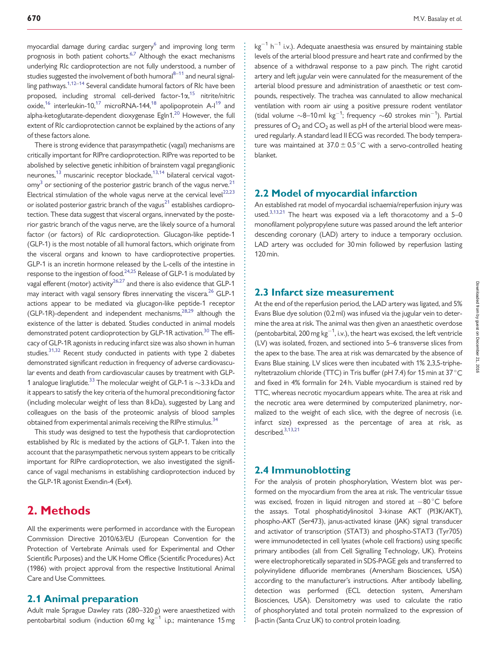myocardial damage during cardiac surgery<sup>6</sup> and improving long term prognosis in both patient cohorts.<sup>6,7</sup> Although the exact mechanisms underlying RIc cardioprotection are not fully understood, a number of studies suggested the involvement of both humoral $8-11$  $8-11$  and neural signalling pathways.<sup>1,12–14</sup> Several candidate humoral factors of RIc have been proposed, including stromal cell-derived factor-1 $\alpha$ ,<sup>[15](#page-6-0)</sup> nitrite/nitric oxide,<sup>16</sup> interleukin-10,<sup>[17](#page-6-0)</sup> microRNA-144,<sup>18</sup> apolipoprotein A-I<sup>19</sup> and alpha-ketoglutarate-dependent dioxygenase Egln1. $^{20}$  However, the full extent of RIc cardioprotection cannot be explained by the actions of any of these factors alone.

There is strong evidence that parasympathetic (vagal) mechanisms are critically important for RIPre cardioprotection. RIPre was reported to be abolished by selective genetic inhibition of brainstem vagal preganglionic neurones, $^{13}$  $^{13}$  $^{13}$  muscarinic receptor blockade, $^{13,14}$  bilateral cervical vagot- $\text{cmy}^3$  $\text{cmy}^3$  or sectioning of the posterior gastric branch of the vagus nerve.<sup>21</sup> Electrical stimulation of the whole vagus nerve at the cervical level $^{22,23}$  $^{22,23}$  $^{22,23}$ or isolated posterior gastric branch of the vagus<sup>[21](#page-7-0)</sup> establishes cardioprotection. These data suggest that visceral organs, innervated by the posterior gastric branch of the vagus nerve, are the likely source of a humoral factor (or factors) of RIc cardioprotection. Glucagon-like peptide-1 (GLP-1) is the most notable of all humoral factors, which originate from the visceral organs and known to have cardioprotective properties. GLP-1 is an incretin hormone released by the L-cells of the intestine in response to the ingestion of food.<sup>[24](#page-7-0),[25](#page-7-0)</sup> Release of GLP-1 is modulated by vagal efferent (motor) activity<sup>26,27</sup> and there is also evidence that GLP-1 may interact with vagal sensory fibres innervating the viscera.<sup>[26](#page-7-0)</sup> GLP-1 actions appear to be mediated via glucagon-like peptide-1 receptor (GLP-1R)-dependent and independent mechanisms,  $28,29$  although the existence of the latter is debated. Studies conducted in animal models demonstrated potent cardioprotection by GLP-1R activation.<sup>30</sup> The efficacy of GLP-1R agonists in reducing infarct size was also shown in human studies.<sup>[31](#page-7-0),[32](#page-7-0)</sup> Recent study conducted in patients with type 2 diabetes demonstrated significant reduction in frequency of adverse cardiovascular events and death from cardiovascular causes by treatment with GLP-1 analogue liraglutide.<sup>33</sup> The molecular weight of GLP-1 is  $\sim$ 3.3 kDa and it appears to satisfy the key criteria of the humoral preconditioning factor (including molecular weight of less than 8 kDa), suggested by Lang and colleagues on the basis of the proteomic analysis of blood samples obtained from experimental animals receiving the RIPre stimulus.<sup>[34](#page-7-0)</sup>

This study was designed to test the hypothesis that cardioprotection established by RIc is mediated by the actions of GLP-1. Taken into the account that the parasympathetic nervous system appears to be critically important for RIPre cardioprotection, we also investigated the significance of vagal mechanisms in establishing cardioprotection induced by the GLP-1R agonist Exendin-4 (Ex4).

# 2. Methods

All the experiments were performed in accordance with the European Commission Directive 2010/63/EU (European Convention for the Protection of Vertebrate Animals used for Experimental and Other Scientific Purposes) and the UK Home Office (Scientific Procedures) Act (1986) with project approval from the respective Institutional Animal Care and Use Committees.

#### 2.1 Animal preparation

Adult male Sprague Dawley rats (280–320 g) were anaesthetized with pentobarbital sodium (induction 60 mg  $kg^{-1}$  i.p.; maintenance 15 mg

 $kg^{-1}$  h<sup>-1</sup> i.v.). Adequate anaesthesia was ensured by maintaining stable levels of the arterial blood pressure and heart rate and confirmed by the absence of a withdrawal response to a paw pinch. The right carotid artery and left jugular vein were cannulated for the measurement of the arterial blood pressure and administration of anaesthetic or test compounds, respectively. The trachea was cannulated to allow mechanical ventilation with room air using a positive pressure rodent ventilator (tidal volume  $\sim$ 8–10 ml kg<sup>-1</sup>; frequency  $\sim$ 60 strokes min<sup>-1</sup>). Partial pressures of  $O_2$  and  $CO_2$  as well as pH of the arterial blood were measured regularly. A standard lead II ECG was recorded. The body temperature was maintained at  $37.0 \pm 0.5$  °C with a servo-controlled heating blanket.

### 2.2 Model of myocardial infarction

An established rat model of myocardial ischaemia/reperfusion injury was used.<sup>3,[13](#page-6-0)[,21](#page-7-0)</sup> The heart was exposed via a left thoracotomy and a 5-0 monofilament polypropylene suture was passed around the left anterior descending coronary (LAD) artery to induce a temporary occlusion. LAD artery was occluded for 30 min followed by reperfusion lasting 120 min.

### 2.3 Infarct size measurement

At the end of the reperfusion period, the LAD artery was ligated, and 5% Evans Blue dye solution (0.2 ml) was infused via the jugular vein to determine the area at risk. The animal was then given an anaesthetic overdose (pentobarbital, 200 mg  $kg^{-1}$ , i.v.), the heart was excised, the left ventricle (LV) was isolated, frozen, and sectioned into 5–6 transverse slices from the apex to the base. The area at risk was demarcated by the absence of Evans Blue staining. LV slices were then incubated with 1% 2,3,5-triphenyltetrazolium chloride (TTC) in Tris buffer (pH 7.4) for 15 min at 37 °C and fixed in 4% formalin for 24 h. Viable myocardium is stained red by TTC, whereas necrotic myocardium appears white. The area at risk and the necrotic area were determined by computerized planimetry, normalized to the weight of each slice, with the degree of necrosis (i.e. infarct size) expressed as the percentage of area at risk, as described.<sup>[3,13,](#page-6-0)[21](#page-7-0)</sup>

### 2.4 Immunoblotting

. . . . . . . . . . . . . . . . . . . . . . . . . . . . . . . . . . . . . . . . . . . . . . . . . . . . . . . . . . . . . . . . . . . . . . . . . . . . . . . . . . . . . . . . . . . . . . . . . . . . . . . . . . . . . . . . . . . . . . . . . . . . . . . . . . . . . . . . . . . . . . . . . . . . . . . . . . . . . . . . . . . . . . . . . . . . . . . . . .

For the analysis of protein phosphorylation, Western blot was performed on the myocardium from the area at risk. The ventricular tissue was excised, frozen in liquid nitrogen and stored at  $-80^{\circ}$ C before the assays. Total phosphatidylinositol 3-kinase AKT (PI3K/AKT), phospho-AKT (Ser473), janus-activated kinase (JAK) signal transducer and activator of transcription (STAT3) and phospho-STAT3 (Tyr705) were immunodetected in cell lysates (whole cell fractions) using specific primary antibodies (all from Cell Signalling Technology, UK). Proteins were electrophoretically separated in SDS-PAGE gels and transferred to polyvinylidene difluoride membranes (Amersham Biosciences, USA) according to the manufacturer's instructions. After antibody labelling, detection was performed (ECL detection system, Amersham Biosciences, USA). Densitometry was used to calculate the ratio of phosphorylated and total protein normalized to the expression of b-actin (Santa Cruz UK) to control protein loading.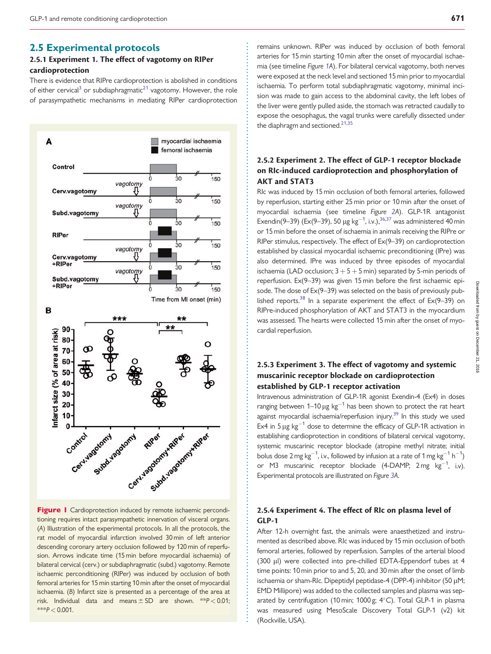### <span id="page-2-0"></span>. 2.5 Experimental protocols

#### 2.5.1 Experiment 1. The effect of vagotomy on RIPer cardioprotection

There is evidence that RIPre cardioprotection is abolished in conditions of either cervical<sup>[3](#page-6-0)</sup> or subdiaphragmatic<sup>21</sup> vagotomy. However, the role of parasympathetic mechanisms in mediating RIPer cardioprotection





remains unknown. RIPer was induced by occlusion of both femoral arteries for 15 min starting 10 min after the onset of myocardial ischaemia (see timeline Figure 1A). For bilateral cervical vagotomy, both nerves were exposed at the neck level and sectioned 15 min prior to myocardial ischaemia. To perform total subdiaphragmatic vagotomy, minimal incision was made to gain access to the abdominal cavity, the left lobes of the liver were gently pulled aside, the stomach was retracted caudally to expose the oesophagus, the vagal trunks were carefully dissected under the diaphragm and sectioned. $21,35$  $21,35$  $21,35$ 

### 2.5.2 Experiment 2. The effect of GLP-1 receptor blockade on RIc-induced cardioprotection and phosphorylation of AKT and STAT3

RIc was induced by 15 min occlusion of both femoral arteries, followed by reperfusion, starting either 25 min prior or 10 min after the onset of myocardial ischaemia (see timeline Figure [2A](#page-3-0)). GLP-1R antagonist Exendin(9–39) (Ex(9–39), 50 µg kg<sup>-1</sup>, i.v.),<sup>[36,37](#page-7-0)</sup> was administered 40 min or 15 min before the onset of ischaemia in animals receiving the RIPre or RIPer stimulus, respectively. The effect of Ex(9–39) on cardioprotection established by classical myocardial ischaemic preconditioning (IPre) was also determined. IPre was induced by three episodes of myocardial ischaemia (LAD occlusion;  $3 + 5 + 5$  min) separated by 5-min periods of reperfusion. Ex(9–39) was given 15 min before the first ischaemic episode. The dose of Ex(9–39) was selected on the basis of previously pub-lished reports.<sup>[38](#page-7-0)</sup> In a separate experiment the effect of  $Ex(9-39)$  on RIPre-induced phosphorylation of AKT and STAT3 in the myocardium was assessed. The hearts were collected 15 min after the onset of myocardial reperfusion.

### 2.5.3 Experiment 3. The effect of vagotomy and systemic muscarinic receptor blockade on cardioprotection established by GLP-1 receptor activation

Intravenous administration of GLP-1R agonist Exendin-4 (Ex4) in doses ranging between  $1-10 \mu g kg^{-1}$  has been shown to protect the rat heart against myocardial ischaemia/reperfusion injury.<sup>39</sup> In this study we used Ex4 in 5  $\mu$ g kg<sup>-1</sup> dose to determine the efficacy of GLP-1R activation in establishing cardioprotection in conditions of bilateral cervical vagotomy, systemic muscarinic receptor blockade (atropine methyl nitrate; initial bolus dose 2 mg kg $^{-1}$ , i.v., followed by infusion at a rate of 1 mg kg $^{-1}$  h $^{-1})$ or M3 muscarinic receptor blockade (4-DAMP;  $2 \text{ mg } \text{ kg}^{-1}$ , i.v). Experimental protocols are illustrated on Figure [3](#page-4-0)A.

### 2.5.4 Experiment 4. The effect of RIc on plasma level of GLP-1

After 12-h overnight fast, the animals were anaesthetized and instrumented as described above. RIc was induced by 15 min occlusion of both femoral arteries, followed by reperfusion. Samples of the arterial blood (300  $\mu$ l) were collected into pre-chilled EDTA-Eppendorf tubes at 4 time points: 10 min prior to and 5, 20, and 30 min after the onset of limb ischaemia or sham-RIc. Dipeptidyl peptidase-4 (DPP-4) inhibitor (50 µM; EMD Millipore) was added to the collected samples and plasma was separated by centrifugation (10 min; 1000 g;  $4^{\circ}$ C). Total GLP-1 in plasma was measured using MesoScale Discovery Total GLP-1 (v2) kit (Rockville, USA).

. . . . . . . . . . . . . . . . . . . . . . . . . . . . . . . . . . . . . . . . . . . . . . . . . . . . . . . . . . . . . . . . . . . . . . . . . . . . . . . . . . . . . . . . . . . . . . . . . . . . . . . . . . . . . . . . . . . . . . . . . . . . . . . . . . . . . . . . . . . . . . . . . . . . . . . . . . . . . . . . . . . . . . . . . . . . . . . . . .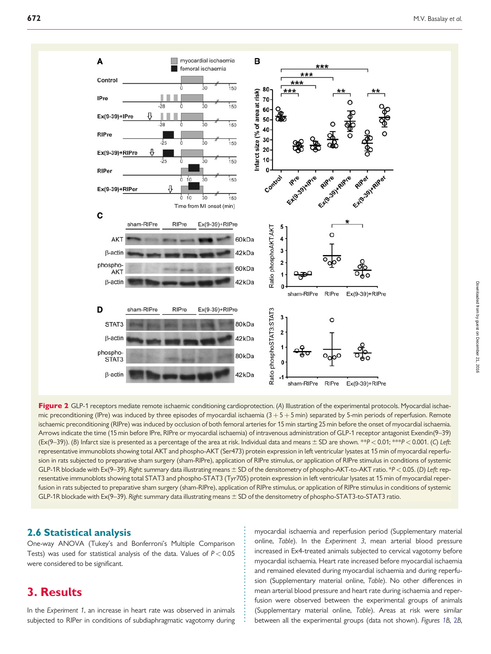<span id="page-3-0"></span>



. . . . . . . . . . . . . . . . . . . . . . . . . . . . .

### . 2.6 Statistical analysis

One-way ANOVA (Tukey's and Bonferroni's Multiple Comparison Tests) was used for statistical analysis of the data. Values of  $P < 0.05$ were considered to be significant.

# 3. Results

In the Experiment 1, an increase in heart rate was observed in animals subjected to RIPer in conditions of subdiaphragmatic vagotomy during

myocardial ischaemia and reperfusion period ([Supplementary material](https://academic.oup.com/cardiovascres/lookup/suppl/doi:10.1093/cvr/cvw216/-/DC1) [online,](https://academic.oup.com/cardiovascres/lookup/suppl/doi:10.1093/cvr/cvw216/-/DC1) Table). In the Experiment 3, mean arterial blood pressure increased in Ex4-treated animals subjected to cervical vagotomy before myocardial ischaemia. Heart rate increased before myocardial ischaemia and remained elevated during myocardial ischaemia and during reperfusion [\(Supplementary material online,](https://academic.oup.com/cardiovascres/lookup/suppl/doi:10.1093/cvr/cvw216/-/DC1) Table). No other differences in mean arterial blood pressure and heart rate during ischaemia and reperfusion were observed between the experimental groups of animals ([Supplementary material online,](https://academic.oup.com/cardiovascres/lookup/suppl/doi:10.1093/cvr/cvw216/-/DC1) Table). Areas at risk were similar between all the experimental groups (data not shown). Figures [1](#page-2-0)B, 2B,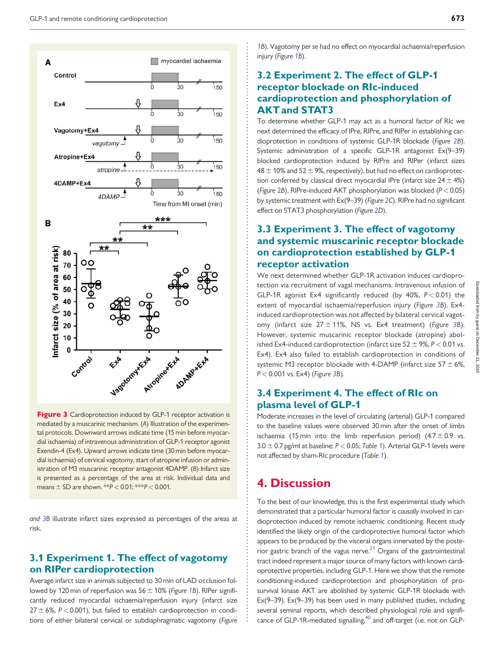<span id="page-4-0"></span>

Figure 3 Cardioprotection induced by GLP-1 receptor activation is mediated by a muscarinic mechanism. (A) Illustration of the experimental protocols. Downward arrows indicate time (15 min before myocardial ischaemia) of intravenous administration of GLP-1 receptor agonist Exendin-4 (Ex4). Upward arrows indicate time (30 min before myocardial ischaemia) of cervical vagotomy, start of atropine infusion or administration of M3 muscarinic receptor antagonist 4DAMP. (B) Infarct size is presented as a percentage of the area at risk. Individual data and means  $\pm$  SD are shown.  $**P < 0.01$ ;  $**P < 0.001$ .

and 3B illustrate infarct sizes expressed as percentages of the areas at risk.

### 3.1 Experiment 1. The effect of vagotomy on RIPer cardioprotection

Average infarct size in animals subjected to 30 min of LAD occlusion fol-lowed by [1](#page-2-0)20 min of reperfusion was  $56 \pm 10\%$  (Figure 1B). RIPer significantly reduced myocardial ischaemia/reperfusion injury (infarct size  $27 \pm 6$ %, P < 0.001), but failed to establish cardioprotection in conditions of either bilateral cervical or subdiaphragmatic vagotomy (Figure

[1B](#page-2-0)). Vagotomy per se had no effect on myocardial ischaemia/reperfusion injury (Figure [1B](#page-2-0)).

# 3.2 Experiment 2. The effect of GLP-1 receptor blockade on RIc-induced cardioprotection and phosphorylation of AKT and STAT3

To determine whether GLP-1 may act as a humoral factor of RIc we next determined the efficacy of IPre, RIPre, and RIPer in establishing cardioprotection in conditions of systemic GLP-1R blockade (Figure [2B](#page-3-0)). Systemic administration of a specific GLP-1R antagonist Ex(9–39) blocked cardioprotection induced by RIPre and RIPer (infarct sizes  $48 \pm 10\%$  and 52  $\pm$  9%, respectively), but had no effect on cardioprotection conferred by classical direct myocardial IPre (infarct size  $24 \pm 4\%$ ) (Figure [2](#page-3-0)B). RIPre-induced AKT phosphorylation was blocked ( $P < 0.05$ ) by systemic treatment with Ex(9–39) (Figure [2C](#page-3-0)). RIPre had no significant effect on STAT3 phosphorylation (Figure [2D](#page-3-0)).

# 3.3 Experiment 3. The effect of vagotomy and systemic muscarinic receptor blockade on cardioprotection established by GLP-1 receptor activation

We next determined whether GLP-1R activation induces cardioprotection via recruitment of vagal mechanisms. Intravenous infusion of GLP-1R agonist Ex4 significantly reduced (by 40%,  $P < 0.01$ ) the extent of myocardial ischaemia/reperfusion injury (Figure 3B). Ex4 induced cardioprotection was not affected by bilateral cervical vagotomy (infarct size  $27 \pm 11$ %, NS vs. Ex4 treatment) (Figure 3B). However, systemic muscarinic receptor blockade (atropine) abolished Ex4-induced cardioprotection (infarct size  $52 \pm 9$ %,  $P < 0.01$  vs. Ex4). Ex4 also failed to establish cardioprotection in conditions of systemic M3 receptor blockade with 4-DAMP (infarct size  $57 \pm 6\%$ ,  $P < 0.001$  vs. Ex4) (Figure 3B).

# 3.4 Experiment 4. The effect of RIc on plasma level of GLP-1

Moderate increases in the level of circulating (arterial) GLP-1 compared to the baseline values were observed 30 min after the onset of limbs ischaemia (15 min into the limb reperfusion period)  $(4.7 \pm 0.9 \text{ vs.})$  $3.0 \pm 0.7$  pg/ml at baseline; P < 0.05; Table [1](#page-5-0)). Arterial GLP-1 levels were not affected by sham-RIc procedure (Table [1](#page-5-0)).

# 4. Discussion

. . . . . . . . . . . . . . . . . . . . . . . . . . . . . . . . . . . . . . . . . . . . . . . . . . . . . . . . . . . . . . . . . . . . . . . . . . . . . . . . . . . . . . . . . . . . . . . . . . . . . . . . . . . . . . . . . . . . . . . . . . . . . . . . . . . . . . . . . . . . . . . . . . . . . . . . . . . . . . . . . . . . . . . . . . . . . . . . . . .

To the best of our knowledge, this is the first experimental study which demonstrated that a particular humoral factor is causally involved in cardioprotection induced by remote ischaemic conditioning. Recent study identified the likely origin of the cardioprotective humoral factor which appears to be produced by the visceral organs innervated by the poste-rior gastric branch of the vagus nerve.<sup>[21](#page-7-0)</sup> Organs of the gastrointestinal tract indeed represent a major source of many factors with known cardioprotective properties, including GLP-1. Here we show that the remote conditioning-induced cardioprotection and phosphorylation of prosurvival kinase AKT are abolished by systemic GLP-1R blockade with Ex(9–39). Ex(9–39) has been used in many published studies, including several seminal reports, which described physiological role and significance of GLP-1R-mediated signalling, $40$  and off-target (i.e. not on GLP-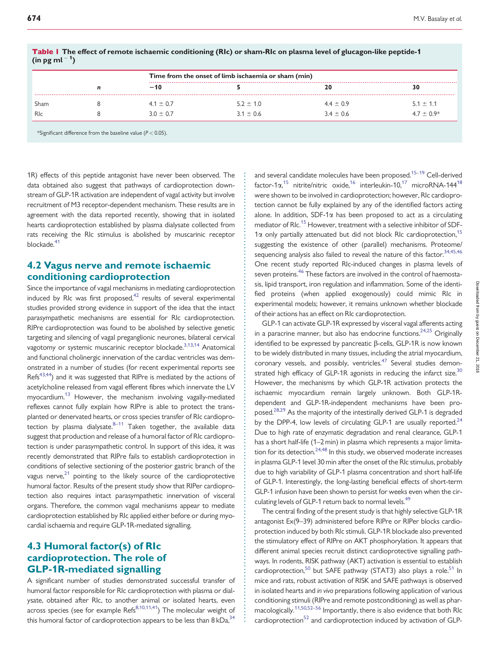|            | n | Time from the onset of limb ischaemia or sham (min) |               |               |               |
|------------|---|-----------------------------------------------------|---------------|---------------|---------------|
|            |   | $-10$                                               |               | 20            |               |
| Sham       |   | $4.1 \pm 0.7$                                       | $5.2 \pm 1.0$ | $4.4 \pm 0.9$ | $5.1 \pm 1.1$ |
| <b>RIc</b> |   | $30 + 0.7$                                          | $3.1 + 0.6$   | $3.4 \pm 0.6$ | $4.7 + 0.9*$  |

. . . . . . . . . . . . . . . . . . . . . . . . . . . . . . . . . . . . . . . . . . . . . . . . . . . . . . . . . . . . . . . . . . . . . . . . . . . . . . . . . . . . . . . . . . . . . . . . . . . . . . . . . . . . . . . . . . . . . . . . . . . . . . . . . . . . . . . . . .

<span id="page-5-0"></span>Table 1 The effect of remote ischaemic conditioning (RIc) or sham-RIc on plasma level of glucagon-like peptide-1 (in pg ml  $^{-1}$ )

\*Significant difference from the baseline value ( $P < 0.05$ ).

. 1R) effects of this peptide antagonist have never been observed. The data obtained also suggest that pathways of cardioprotection downstream of GLP-1R activation are independent of vagal activity but involve recruitment of M3 receptor-dependent mechanism. These results are in agreement with the data reported recently, showing that in isolated hearts cardioprotection established by plasma dialysate collected from rats receiving the RIc stimulus is abolished by muscarinic receptor blockade.<sup>41</sup>

### 4.2 Vagus nerve and remote ischaemic conditioning cardioprotection

Since the importance of vagal mechanisms in mediating cardioprotection induced by RIc was first proposed, $42$  results of several experimental studies provided strong evidence in support of the idea that the intact parasympathetic mechanisms are essential for RIc cardioprotection. RIPre cardioprotection was found to be abolished by selective genetic targeting and silencing of vagal preganglionic neurones, bilateral cervical vagotomy or systemic muscarinic receptor blockade.<sup>3,[13,14](#page-6-0)</sup> Anatomical and functional cholinergic innervation of the cardiac ventricles was demonstrated in a number of studies (for recent experimental reports see Refs<sup>[43](#page-7-0),[44](#page-7-0)</sup>) and it was suggested that RIPre is mediated by the actions of acetylcholine released from vagal efferent fibres which innervate the LV myocardium.<sup>[13](#page-6-0)</sup> However, the mechanism involving vagally-mediated reflexes cannot fully explain how RIPre is able to protect the transplanted or denervated hearts, or cross species transfer of RIc cardioprotection by plasma dialysate. $8-11$  Taken together, the available data suggest that production and release of a humoral factor of RIc cardioprotection is under parasympathetic control. In support of this idea, it was recently demonstrated that RIPre fails to establish cardioprotection in conditions of selective sectioning of the posterior gastric branch of the vagus nerve, $21$  pointing to the likely source of the cardioprotective humoral factor. Results of the present study show that RIPer cardioprotection also requires intact parasympathetic innervation of visceral organs. Therefore, the common vagal mechanisms appear to mediate cardioprotection established by RIc applied either before or during myocardial ischaemia and require GLP-1R-mediated signalling.

## 4.3 Humoral factor(s) of RIc cardioprotection. The role of GLP-1R-mediated signalling

A significant number of studies demonstrated successful transfer of humoral factor responsible for RIc cardioprotection with plasma or dialysate, obtained after RIc, to another animal or isolated hearts, even across species (see for example  $\text{Refs}^{8,10,11,41}$  $\text{Refs}^{8,10,11,41}$  $\text{Refs}^{8,10,11,41}$  $\text{Refs}^{8,10,11,41}$  $\text{Refs}^{8,10,11,41}$ ) The molecular weight of this humoral factor of cardioprotection appears to be less than  $8 \text{ kDa}^{34}$ 

and several candidate molecules have been proposed.<sup>[15](#page-6-0)-[19](#page-7-0)</sup> Cell-derived factor-1 $\alpha$ ,<sup>[15](#page-6-0)</sup> nitrite/nitric oxide,<sup>16</sup> interleukin-10,<sup>17</sup> microRNA-144<sup>18</sup> were shown to be involved in cardioprotection; however, RIc cardioprotection cannot be fully explained by any of the identified factors acting alone. In addition, SDF-1 $\alpha$  has been proposed to act as a circulating mediator of RIc.<sup>[15](#page-6-0)</sup> However, treatment with a selective inhibitor of SDF- $1\alpha$  only partially attenuated but did not block RIc cardioprotection,<sup>15</sup> suggesting the existence of other (parallel) mechanisms. Proteome/ sequencing analysis also failed to reveal the nature of this factor.<sup>[34](#page-7-0),[45,46](#page-7-0)</sup> One recent study reported RIc-induced changes in plasma levels of seven proteins.<sup>46</sup> These factors are involved in the control of haemostasis, lipid transport, iron regulation and inflammation. Some of the identified proteins (when applied exogenously) could mimic RIc in experimental models; however, it remains unknown whether blockade of their actions has an effect on RIc cardioprotection.

GLP-1 can activate GLP-1R expressed by visceral vagal afferents acting in a paracrine manner, but also has endocrine functions.<sup>24,25</sup> Originally identified to be expressed by pancreatic  $\beta$ -cells, GLP-1R is now known to be widely distributed in many tissues, including the atrial myocardium, coronary vessels, and possibly, ventricles.<sup>47</sup> Several studies demonstrated high efficacy of GLP-1R agonists in reducing the infarct size.<sup>30</sup> However, the mechanisms by which GLP-1R activation protects the ischaemic myocardium remain largely unknown. Both GLP-1Rdependent and GLP-1R-independent mechanisms have been proposed.<sup>28,29</sup> As the majority of the intestinally derived GLP-1 is degraded by the DPP-4, low levels of circulating GLP-1 are usually reported. $24$ Due to high rate of enzymatic degradation and renal clearance, GLP-1 has a short half-life (1–2 min) in plasma which represents a major limita-tion for its detection.<sup>[24,48](#page-7-0)</sup> In this study, we observed moderate increases in plasma GLP-1 level 30 min after the onset of the RIc stimulus, probably due to high variability of GLP-1 plasma concentration and short half-life of GLP-1. Interestingly, the long-lasting beneficial effects of short-term GLP-1 infusion have been shown to persist for weeks even when the circulating levels of GLP-1 return back to normal levels.<sup>49</sup>

The central finding of the present study is that highly selective GLP-1R antagonist Ex(9–39) administered before RIPre or RIPer blocks cardioprotection induced by both RIc stimuli. GLP-1R blockade also prevented the stimulatory effect of RIPre on AKT phosphorylation. It appears that different animal species recruit distinct cardioprotective signalling pathways. In rodents, RISK pathway (AKT) activation is essential to establish cardioprotection,<sup>50</sup> but SAFE pathway (STAT3) also plays a role.<sup>[51](#page-7-0)</sup> In mice and rats, robust activation of RISK and SAFE pathways is observed in isolated hearts and in vivo preparations following application of various conditioning stimuli (RIPre and remote postconditioning) as well as pharmacologically[.11](#page-6-0)[,50,52–56](#page-7-0) Importantly, there is also evidence that both RIc cardioprotection $52$  and cardioprotection induced by activation of GLP-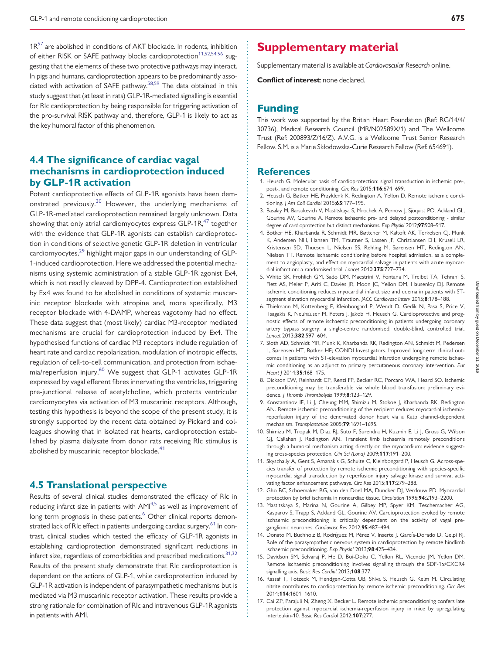<span id="page-6-0"></span> $1R^{57}$  $1R^{57}$  $1R^{57}$  are abolished in conditions of AKT blockade. In rodents, inhibition of either RISK or SAFE pathway blocks cardioprotection<sup>11[,52,54,56](#page-7-0)</sup> suggesting that the elements of these two protective pathways may interact. In pigs and humans, cardioprotection appears to be predominantly associated with activation of SAFE pathway[.58,59](#page-7-0) The data obtained in this study suggest that (at least in rats) GLP-1R-mediated signalling is essential for RIc cardioprotection by being responsible for triggering activation of the pro-survival RISK pathway and, therefore, GLP-1 is likely to act as the key humoral factor of this phenomenon.

# 4.4 The significance of cardiac vagal mechanisms in cardioprotection induced by GLP-1R activation

Potent cardioprotective effects of GLP-1R agonists have been demonstrated previously.[30](#page-7-0) However, the underlying mechanisms of GLP-1R-mediated cardioprotection remained largely unknown. Data showing that only atrial cardiomy ocytes express  $GLP-1R$ ,  $47$  together with the evidence that GLP-1R agonists can establish cardioprotection in conditions of selective genetic GLP-1R deletion in ventricular cardiomyocytes, $^{29}$  $^{29}$  $^{29}$  highlight major gaps in our understanding of GLP-1-induced cardioprotection. Here we addressed the potential mechanisms using systemic administration of a stable GLP-1R agonist Ex4, which is not readily cleaved by DPP-4. Cardioprotection established by Ex4 was found to be abolished in conditions of systemic muscarinic receptor blockade with atropine and, more specifically, M3 receptor blockade with 4-DAMP, whereas vagotomy had no effect. These data suggest that (most likely) cardiac M3-receptor mediated mechanisms are crucial for cardioprotection induced by Ex4. The hypothesised functions of cardiac M3 receptors include regulation of heart rate and cardiac repolarization, modulation of inotropic effects, regulation of cell-to-cell communication, and protection from ischae-mia/reperfusion injury.<sup>[60](#page-7-0)</sup> We suggest that GLP-1 activates GLP-1R expressed by vagal efferent fibres innervating the ventricles, triggering pre-junctional release of acetylcholine, which protects ventricular cardiomyocytes via activation of M3 muscarinic receptors. Although, testing this hypothesis is beyond the scope of the present study, it is strongly supported by the recent data obtained by Pickard and colleagues showing that in isolated rat hearts, cardioprotection established by plasma dialysate from donor rats receiving RIc stimulus is abolished by muscarinic receptor blockade.<sup>[41](#page-7-0)</sup>

### 4.5 Translational perspective

Results of several clinical studies demonstrated the efficacy of RIc in reducing infarct size in patients with  $AMI^{4,5}$  as well as improvement of long term prognosis in these patients.<sup>6</sup> Other clinical reports demonstrated lack of RIc effect in patients undergoing cardiac surgery.<sup>61</sup> In contrast, clinical studies which tested the efficacy of GLP-1R agonists in establishing cardioprotection demonstrated significant reductions in infarct size, regardless of comorbidities and prescribed medications. $31,32$ Results of the present study demonstrate that RIc cardioprotection is dependent on the actions of GLP-1, while cardioprotection induced by GLP-1R activation is independent of parasympathetic mechanisms but is mediated via M3 muscarinic receptor activation. These results provide a strong rationale for combination of RIc and intravenous GLP-1R agonists in patients with AMI.

# Supplementary material

[Supplementary material](https://academic.oup.com/cardiovascres/lookup/suppl/doi:10.1093/cvr/cvw216/-/DC1) is available at Cardiovascular Research online.

Conflict of interest: none declared.

### Funding

This work was supported by the British Heart Foundation (Ref: RG/14/4/ 30736), Medical Research Council (MR/N02589X/1) and The Wellcome Trust (Ref: 200893/Z/16/Z). A.V.G. is a Wellcome Trust Senior Research Fellow. S.M. is a Marie Skłodowska-Curie Research Fellow (Ref: 654691).

#### **References**

- 1. Heusch G. Molecular basis of cardioprotection: signal transduction in ischemic pre-, post-, and remote conditioning. Circ Res 2015;116:674-699.
- 2. Heusch G, Bøtker HE, Przyklenk K, Redington A, Yellon D. Remote ischemic conditioning. J Am Coll Cardiol 2015;65:177-195.
- 3. Basalay M, Barsukevich V, Mastitskaya S, Mrochek A, Pernow J, Sjöquist PO, Ackland GL, Gourine AV, Gourine A. Remote ischaemic pre- and delayed postconditioning - similar degree of cardioprotection but distinct mechanisms. Exp Physiol 2012;97:908–917.
- 4. Bøtker HE, Kharbanda R, Schmidt MR, Bøttcher M, Kaltoft AK, Terkelsen CJ, Munk K, Andersen NH, Hansen TM, Trautner S, Lassen JF, Christiansen EH, Krusell LR, Kristensen SD, Thuesen L, Nielsen SS, Rehling M, Sørensen HT, Redington AN, Nielsen TT. Remote ischaemic conditioning before hospital admission, as a complement to angioplasty, and effect on myocardial salvage in patients with acute myocardial infarction: a randomised trial. Lancet 2010;375:727–734.
- 5. White SK, Frohlich GM, Sado DM, Maestrini V, Fontana M, Treibel TA, Tehrani S, Flett AS, Meier P, Ariti C, Davies JR, Moon JC, Yellon DM, Hausenloy DJ. Remote ischemic conditioning reduces myocardial infarct size and edema in patients with STsegment elevation myocardial infarction. JACC Cardiovasc Interv 2015;8:178-188.
- 6. Thielmann M, Kottenberg E, Kleinbongard P, Wendt D, Gedik N, Pasa S, Price V, Tsagakis K, Neuhäuser M, Peters J, Jakob H, Heusch G. Cardioprotective and prognostic effects of remote ischaemic preconditioning in patients undergoing coronary artery bypass surgery: a single-centre randomised, double-blind, controlled trial. Lancet 2013;382:597–604.
- 7. Sloth AD, Schmidt MR, Munk K, Kharbanda RK, Redington AN, Schmidt M, Pedersen L, Sørensen HT, Bøtker HE; CONDI Investigators. Improved long-term clinical outcomes in patients with ST-elevation myocardial infarction undergoing remote ischaemic conditioning as an adjunct to primary percutaneous coronary intervention. Eur Heart | 2014;35:168-175.
- 8. Dickson EW, Reinhardt CP, Renzi FP, Becker RC, Porcaro WA, Heard SO. Ischemic preconditioning may be transferable via whole blood transfusion: preliminary evidence. J Thromb Thrombolysis 1999;8:123-129.
- 9. Konstantinov IE, Li J, Cheung MM, Shimizu M, Stokoe J, Kharbanda RK, Redington AN. Remote ischemic preconditioning of the recipient reduces myocardial ischemiareperfusion injury of the denervated donor heart via a Katp channel-dependent mechanism. Transplantation 2005;79:1691–1695.
- 10. Shimizu M, Tropak M, Diaz RJ, Suto F, Surendra H, Kuzmin E, Li J, Gross G, Wilson GJ, Callahan J, Redington AN. Transient limb ischaemia remotely preconditions through a humoral mechanism acting directly on the myocardium: evidence suggesting cross-species protection. Clin Sci (Lond) 2009;117:191–200.
- 11. Skyschally A, Gent S, Amanakis G, Schulte C, Kleinbongard P, Heusch G. Across-species transfer of protection by remote ischemic preconditioning with species-specific myocardial signal transduction by reperfusion injury salvage kinase and survival activating factor enhancement pathways. Circ Res 2015;117:279–288.
- 12. Gho BC, Schoemaker RG, van den Doel MA, Duncker DJ, Verdouw PD. Myocardial protection by brief ischemia in noncardiac tissue. Circulation 1996;94:2193–2200.
- 13. Mastitskaya S, Marina N, Gourine A, Gilbey MP, Spyer KM, Teschemacher AG, Kasparov S, Trapp S, Ackland GL, Gourine AV. Cardioprotection evoked by remote ischaemic preconditioning is critically dependent on the activity of vagal preganglionic neurones. Cardiovasc Res 2012;95:487–494.
- 14. Donato M, Buchholz B, Rodríguez M, Pérez V, Inserte J, García-Dorado D, Gelpi RJ. Role of the parasympathetic nervous system in cardioprotection by remote hindlimb ischaemic preconditioning. Exp Physiol 2013;98:425–434.
- 15. Davidson SM, Selvaraj P, He D, Boi-Doku C, Yellon RL, Vicencio JM, Yellon DM. Remote ischaemic preconditioning involves signalling through the SDF-1a/CXCR4 signalling axis. Basic Res Cardiol 2013:108:377.
- 16. Rassaf T, Totzeck M, Hendgen-Cotta UB, Shiva S, Heusch G, Kelm M. Circulating nitrite contributes to cardioprotection by remote ischemic preconditioning. Circ Res 2014;114:1601–1610.
- 17. Cai ZP, Parajuli N, Zheng X, Becker L. Remote ischemic preconditioning confers late protection against myocardial ischemia-reperfusion injury in mice by upregulating interleukin-10. Basic Res Cardiol 2012;107:277.

. . . . . . . . . . . . . . . . . . . . . . . . . . . . . . . . . . . . . . . . . . . . . . . . . . . . . . . . . . . . . . . . . . . . . . . . . . . . . . . . . . . . . . . . . . . . . . . . . . . . . . . . . . . . . . . . . . . . . . . . . . . . . . . . . . . . . . . . . . . . . . . . . . . . . . . . . . . . . . . . . . . . . . . . . . . . . . . . .